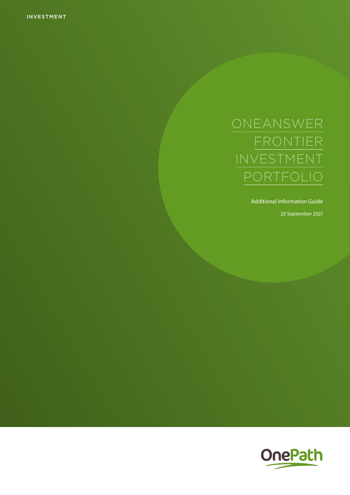INVESTMENT

Additional Information Guide

20 September 2021

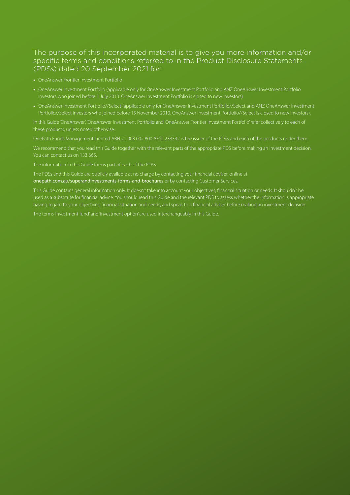### The purpose of this incorporated material is to give you more information and/or specific terms and conditions referred to in the Product Disclosure Statements (PDSs) dated 20 September 2021 for:

- 
- **•** OneAnswer Investment Portfolio (applicable only for OneAnswer Investment Portfolio and ANZ OneAnswer Investment Portfolio investors who joined before 1 July 2013. OneAnswer Investment Portfolio is closed to new investors)
- **•** OneAnswer Investment Portfolio//Select (applicable only for OneAnswer Investment Portfolio//Select and ANZ OneAnswer Investment

In this Guide 'OneAnswer', 'OneAnswer Investment Portfolio' and 'OneAnswer Frontier Investment Portfolio' refer collectively to each of

OnePath Funds Management Limited ABN 21 003 002 800 AFSL 238342 is the issuer of the PDSs and each of the products under them.

We recommend that you read this Guide together with the relevant parts of the appropriate PDS before making an investment decision. You can contact us on 133 665.

The information in this Guide forms part of each of the PDSs.

The PDSs and this Guide are publicly available at no charge by contacting your financial adviser, online at [onepath.com.au/superandinvestments-forms-and-brochures](http://onepath.com.au/superandinvestments-forms-and-brochures) or by contacting Customer Services.

This Guide contains general information only. It doesn't take into account your objectives, financial situation or needs. It shouldn't be used as a substitute for financial advice. You should read this Guide and the relevant PDS to assess whether the information is appropriate having regard to your objectives, financial situation and needs, and speak to a financial adviser before making an investment decision.

The terms 'investment fund' and 'investment option' are used interchangeably in this Guide.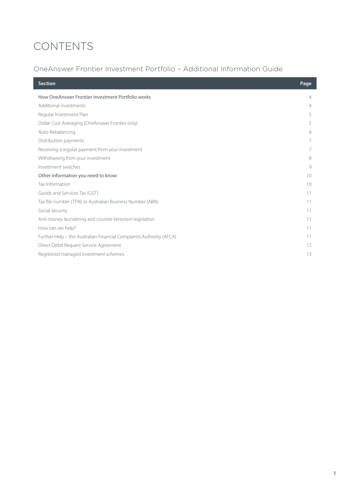# CONTENTS

## OneAnswer Frontier Investment Portfolio – Additional Information Guide

| <b>Section</b>                                                      | Page           |
|---------------------------------------------------------------------|----------------|
| How OneAnswer Frontier Investment Portfolio works                   | $\overline{4}$ |
| Additional investments                                              | 4              |
| Regular Investment Plan                                             | 5              |
| Dollar Cost Averaging (OneAnswer Frontier only)                     | 5              |
| Auto-Rebalancing                                                    | 6              |
| Distribution payments                                               |                |
| Receiving a regular payment from your investment                    |                |
| Withdrawing from your investment                                    | 8              |
| Investment switches                                                 | 9              |
| Other information you need to know                                  | 10             |
| Tax Information                                                     | 10             |
| Goods and Services Tax (GST)                                        | 11             |
| Tax file number (TFN) or Australian Business Number (ABN)           | 11             |
| Social security                                                     | 11             |
| Anti-money laundering and counter-terrorism legislation             | 11             |
| How can we help?                                                    | 11             |
| Further Help - the Australian Financial Complaints Authority (AFCA) | 11             |
| Direct Debit Request Service Agreement                              | 12             |
| Registered managed investment schemes                               | 13             |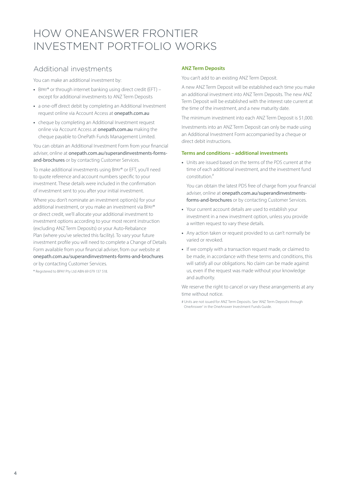## <span id="page-3-0"></span>HOW ONEANSWER FRONTIER INVESTMENT PORTFOLIO WORKS

### Additional investments

You can make an additional investment by:

- **•** Bpay® or through internet banking using direct credit (EFT) except for additional investments to ANZ Term Deposits
- **•** a one-off direct debit by completing an Additional Investment request online via Account Access at [onepath.com.au](http://onepath.com.au)
- **•** cheque by completing an Additional Investment request online via Account Access at [onepath.com.au](http://onepath.com.au) making the cheque payable to OnePath Funds Management Limited.

You can obtain an Additional Investment Form from your financial adviser, online at [onepath.com.au/superandinvestments-forms](http://onepath.com.au/superandinvestments-forms-and-brochures)[and-brochures](http://onepath.com.au/superandinvestments-forms-and-brochures) or by contacting Customer Services.

To make additional investments using Bpay® or EFT, you'll need to quote reference and account numbers specific to your investment. These details were included in the confirmation of investment sent to you after your initial investment.

Where you don't nominate an investment option(s) for your additional investment, or you make an investment via Bpay® or direct credit, we'll allocate your additional investment to investment options according to your most recent instruction (excluding ANZ Term Deposits) or your Auto-Rebalance Plan (where you've selected this facility). To vary your future investment profile you will need to complete a Change of Details Form available from your financial adviser, from our website at [onepath.com.au/superandinvestments-forms-and-brochures](http://onepath.com.au/superandinvestments-forms-and-brochures) or by contacting Customer Services.

® Registered to BPAY Pty Ltd ABN 69 079 137 518.

#### **ANZ Term Deposits**

You can't add to an existing ANZ Term Deposit.

A new ANZ Term Deposit will be established each time you make an additional investment into ANZ Term Deposits. The new ANZ Term Deposit will be established with the interest rate current at the time of the investment, and a new maturity date.

The minimum investment into each ANZ Term Deposit is \$1,000.

Investments into an ANZ Term Deposit can only be made using an Additional Investment Form accompanied by a cheque or direct debit instructions.

#### **Terms and conditions – additional investments**

**•** Units are issued based on the terms of the PDS current at the time of each additional investment, and the investment fund constitution.#

You can obtain the latest PDS free of charge from your financial adviser, online at [onepath.com.au/superandinvestments](http://onepath.com.au/superandinvestments-forms-and-brochures)[forms-and-brochures](http://onepath.com.au/superandinvestments-forms-and-brochures) or by contacting Customer Services.

- **•** Your current account details are used to establish your investment in a new investment option, unless you provide a written request to vary these details.
- **•** Any action taken or request provided to us can't normally be varied or revoked.
- **•** If we comply with a transaction request made, or claimed to be made, in accordance with these terms and conditions, this will satisfy all our obligations. No claim can be made against us, even if the request was made without your knowledge and authority.

We reserve the right to cancel or vary these arrangements at any time without notice.

# Units are not issued for ANZ Term Deposits. See 'ANZ Term Deposits through OneAnswer' in the OneAnswer Investment Funds Guide.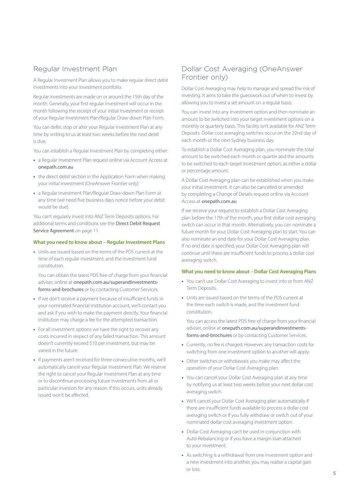### <span id="page-4-0"></span>Regular Investment Plan

A Regular Investment Plan allows you to make regular direct debit investments into your investment portfolio.

Regular investments are made on or around the 15th day of the month. Generally, your first regular investment will occur in the month following the receipt of your initial investment or receipt of your Regular Investment Plan/Regular Draw-down Plan Form.

You can defer, stop or alter your Regular Investment Plan at any time by writing to us at least two weeks before the next debit is due.

You can establish a Regular Investment Plan by completing either:

- **•** a Regular Investment Plan request online via Account Access at [onepath.com.au](http://onepath.com.au)
- **•** the direct debit section in the Application Form when making your initial investment (OneAnswer Frontier only)
- **•** a Regular Investment Plan/Regular Draw-down Plan Form at any time (we need five business days notice before your debit would be due).

You can't regularly invest into ANZ Term Deposits options. For additional terms and conditions see the [Direct Debit Request](#page-10-0)  [Service Agreement](#page-10-0) on page 11.

#### **What you need to know about – Regular Investment Plans**

**•** Units are issued based on the terms of the PDS current at the time of each regular investment, and the investment fund constitution.

You can obtain the latest PDS free of charge from your financial adviser, online at [onepath.com.au/superandinvestments](http://onepath.com.au/superandinvestments-forms-and-brochures)[forms-and-brochures](http://onepath.com.au/superandinvestments-forms-and-brochures) or by contacting Customer Services.

- **•** If we don't receive a payment because of insufficient funds in your nominated financial institution account, we'll contact you and ask if you wish to make the payment directly. Your financial institution may charge a fee for the attempted transaction.
- **•** For all investment options we have the right to recover any costs incurred in respect of any failed transaction. This amount doesn't currently exceed \$10 per investment, but may be varied in the future.
- **•** If payments aren't received for three consecutive months, we'll automatically cancel your Regular Investment Plan. We reserve the right to cancel your Regular Investment Plan at any time or to discontinue processing future investments from all or particular investors for any reason. If this occurs, units already issued won't be affected.

### Dollar Cost Averaging (OneAnswer Frontier only)

Dollar Cost Averaging may help to manage and spread the risk of investing. It aims to take the guesswork out of when to invest by allowing you to invest a set amount on a regular basis.

You can invest into any investment option and then nominate an amount to be switched into your target investment options on a monthly or quarterly basis. This facility isn't available for ANZ Term Deposits. Dollar cost averaging switches occur on the 22nd day of each month or the next Sydney business day.

To establish a Dollar Cost Averaging plan, you nominate the total amount to be switched each month or quarter and the amounts to be switched to each target investment option, as either a dollar or percentage amount.

A Dollar Cost Averaging plan can be established when you make your initial investment. It can also be cancelled or amended by completing a Change of Details request online via Account Access at [onepath.com.au](http://onepath.com.au)

If we receive your request to establish a Dollar Cost Averaging plan before the 17th of the month, your first dollar cost averaging switch can occur in that month. Alternatively, you can nominate a future month for your Dollar Cost Averaging plan to start. You can also nominate an end date for your Dollar Cost Averaging plan. If no end date is specified, your Dollar Cost Averaging plan will continue until there are insufficient funds to process a dollar cost averaging switch.

#### **What you need to know about – Dollar Cost Averaging Plans**

- **•** You can't use Dollar Cost Averaging to invest into or from ANZ Term Deposits.
- **•** Units are issued based on the terms of the PDS current at the time each switch is made, and the investment fund constitution.

You can access the latest PDS free of charge from your financial adviser, online at [onepath.com.au/superandinvestments](http://onepath.com.au/superandinvestments-forms-and-brochures)[forms-and-brochures](http://onepath.com.au/superandinvestments-forms-and-brochures) or by contacting Customer Services.

- **•** Currently, no fee is charged. However, any transaction costs for switching from one investment option to another will apply.
- **•** Other switches or withdrawals you make may affect the operation of your Dollar Cost Averaging plan.
- **•** You can cancel your Dollar Cost Averaging plan at any time by notifying us at least two weeks before your next dollar cost averaging switch.
- **•** We'll cancel your Dollar Cost Averaging plan automatically if there are insufficient funds available to process a dollar cost averaging switch or if you fully withdraw or switch out of your nominated dollar cost averaging investment option.
- **•** Dollar Cost Averaging can't be used in conjunction with Auto-Rebalancing or if you have a margin loan attached to your investment.
- **•** As switching is a withdrawal from one investment option and a new investment into another, you may realise a capital gain or loss.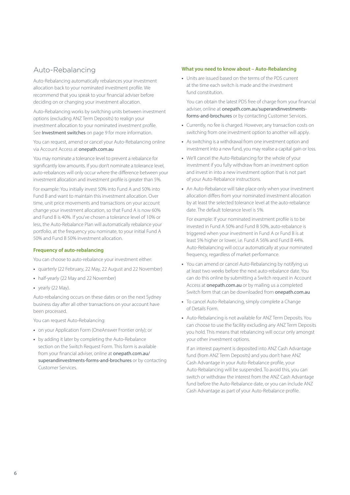### <span id="page-5-0"></span>Auto-Rebalancing

Auto-Rebalancing automatically rebalances your investment allocation back to your nominated investment profile. We recommend that you speak to your financial adviser before deciding on or changing your investment allocation.

Auto-Rebalancing works by switching units between investment options (excluding ANZ Term Deposits) to realign your investment allocation to your nominated investment profile. See [Investment switche](#page-8-0)s on page 9 for more information.

You can request, amend or cancel your Auto-Rebalancing online via Account Access at [onepath.com.au](http://onepath.com.au)

You may nominate a tolerance level to prevent a rebalance for significantly low amounts. If you don't nominate a tolerance level, auto-rebalances will only occur where the difference between your investment allocation and investment profile is greater than 5%.

For example: You initially invest 50% into Fund A and 50% into Fund B and want to maintain this investment allocation. Over time, unit price movements and transactions on your account change your investment allocation, so that Fund A is now 60% and Fund B is 40%. If you've chosen a tolerance level of 10% or less, the Auto-Rebalance Plan will automatically rebalance your portfolio, at the frequency you nominate, to your initial Fund A 50% and Fund B 50% investment allocation.

#### **Frequency of auto-rebalancing**

You can choose to auto-rebalance your investment either:

- **•** quarterly (22 February, 22 May, 22 August and 22 November)
- **•** half-yearly (22 May and 22 November)
- **•** yearly (22 May).

Auto-rebalancing occurs on these dates or on the next Sydney business day after all other transactions on your account have been processed.

You can request Auto-Rebalancing:

- **•** on your Application Form (OneAnswer Frontier only); or
- **•** by adding it later by completing the Auto-Rebalance section on the Switch Request Form. This form is available from your financial adviser, online at [onepath.com.au/](http://onepath.com.au/superandinvestments-forms-and-brochures) [superandinvestments-forms-and-brochures](http://onepath.com.au/superandinvestments-forms-and-brochures) or by contacting Customer Services.

#### **What you need to know about – Auto-Rebalancing**

**•** Units are issued based on the terms of the PDS current at the time each switch is made and the investment fund constitution.

You can obtain the latest PDS free of charge from your financial adviser, online at [onepath.com.au/superandinvestments](http://onepath.com.au/superandinvestments-forms-and-brochures)[forms-and-brochures](http://onepath.com.au/superandinvestments-forms-and-brochures) or by contacting Customer Services.

- **•** Currently, no fee is charged. However, any transaction costs on switching from one investment option to another will apply.
- **•** As switching is a withdrawal from one investment option and investment into a new fund, you may realise a capital gain or loss.
- **•** We'll cancel the Auto-Rebalancing for the whole of your investment if you fully withdraw from an investment option and invest in into a new investment option that is not part of your Auto-Rebalance instructions.
- **•** An Auto-Rebalance will take place only when your investment allocation differs from your nominated investment allocation by at least the selected tolerance level at the auto-rebalance date. The default tolerance level is 5%.

For example: If your nominated investment profile is to be invested in Fund A 50% and Fund B 50%, auto-rebalance is triggered when your investment in Fund A or Fund B is at least 5% higher or lower, i.e. Fund A 56% and Fund B 44%. Auto-Rebalancing will occur automatically at your nominated frequency, regardless of market performance.

- **•** You can amend or cancel Auto-Rebalancing by notifying us at least two weeks before the next auto-rebalance date. You can do this online by submitting a Switch request in Account Access at [onepath.com.au](http://onepath.com.au) or by mailing us a completed Switch form that can be downloaded from [onepath.com.au](http://onepath.com.au )
- **•** To cancel Auto-Rebalancing, simply complete a Change of Details Form.
- **•** Auto-Rebalancing is not available for ANZ Term Deposits. You can choose to use the facility excluding any ANZ Term Deposits you hold. This means that rebalancing will occur only amongst your other investment options.

If an interest payment is deposited into ANZ Cash Advantage fund (from ANZ Term Deposits) and you don't have ANZ Cash Advantage in your Auto-Rebalance profile, your Auto-Rebalancing will be suspended. To avoid this, you can switch or withdraw the interest from the ANZ Cash Advantage fund before the Auto-Rebalance date, or you can include ANZ Cash Advantage as part of your Auto-Rebalance profile.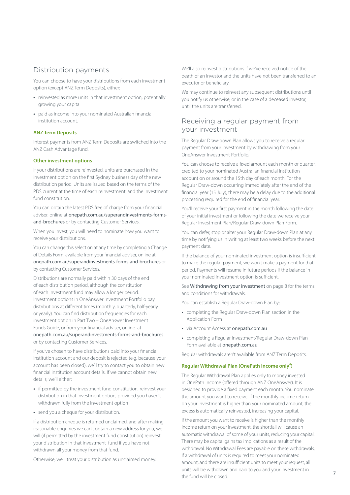### <span id="page-6-0"></span>Distribution payments

You can choose to have your distributions from each investment option (except ANZ Term Deposits), either:

- **•** reinvested as more units in that investment option, potentially growing your capital
- **•** paid as income into your nominated Australian financial institution account.

#### **ANZ Term Deposits**

Interest payments from ANZ Term Deposits are switched into the ANZ Cash Advantage fund.

#### **Other investment options**

If your distributions are reinvested, units are purchased in the investment option on the first Sydney business day of the new distribution period. Units are issued based on the terms of the PDS current at the time of each reinvestment, and the investment fund constitution.

You can obtain the latest PDS free of charge from your financial adviser, online at [onepath.com.au/superandinvestments-forms](http://onepath.com.au/superandinvestments-forms-and-brochures)[and-brochures](http://onepath.com.au/superandinvestments-forms-and-brochures) or by contacting Customer Services.

When you invest, you will need to nominate how you want to receive your distributions.

You can change this selection at any time by completing a Change of Details Form, available from your financial adviser, online at [onepath.com.au/superandinvestments-forms-and-brochures](http://onepath.com.au/superandinvestments-forms-and-brochures) or by contacting Customer Services.

Distributions are normally paid within 30 days of the end of each distribution period, although the constitution of each investment fund may allow a longer period. Investment options in OneAnswer Investment Portfolio pay distributions at different times (monthly, quarterly, half-yearly or yearly). You can find distribution frequencies for each investment option in Part Two – OneAnswer Investment Funds Guide, or from your financial adviser, online at [onepath.com.au/superandinvestments-forms-and-brochures](http://onepath.com.au/superandinvestments-forms-and-brochures) or by contacting Customer Services.

If you've chosen to have distributions paid into your financial institution account and our deposit is rejected (e.g. because your account has been closed), we'll try to contact you to obtain new financial institution account details. If we cannot obtain new details, we'll either:

- **•** if permitted by the investment fund constitution, reinvest your distribution in that investment option, provided you haven't withdrawn fully from the investment option
- send you a cheque for your distribution.

If a distribution cheque is returned unclaimed, and after making reasonable enquiries we can't obtain a new address for you, we will (if permitted by the investment fund constitution) reinvest your distribution in that investment fund if you have not withdrawn all your money from that fund.

Otherwise, we'll treat your distribution as unclaimed money.

We'll also reinvest distributions if we've received notice of the death of an investor and the units have not been transferred to an executor or beneficiary.

We may continue to reinvest any subsequent distributions until you notify us otherwise, or in the case of a deceased investor, until the units are transferred.

### Receiving a regular payment from your investment

The Regular Draw-down Plan allows you to receive a regular payment from your investment by withdrawing from your OneAnswer Investment Portfolio.

You can choose to receive a fixed amount each month or quarter, credited to your nominated Australian financial institution account on or around the 15th day of each month. For the Regular Draw-down occurring immediately after the end of the financial year (15 July), there may be a delay due to the additional processing required for the end of financial year.

You'll receive your first payment in the month following the date of your initial investment or following the date we receive your Regular Investment Plan/Regular Draw-down Plan Form.

You can defer, stop or alter your Regular Draw-down Plan at any time by notifying us in writing at least two weeks before the next payment date.

If the balance of your nominated investment option is insufficient to make the regular payment, we won't make a payment for that period. Payments will resume in future periods if the balance in your nominated investment option is sufficient.

See [Withdrawing from your investment](#page-7-0) on page 8 for the terms and conditions for withdrawals.

You can establish a Regular Draw-down Plan by:

- **•** completing the Regular Draw-down Plan section in the Application Form
- **•** via Account Access at [onepath.com.au](http://onepath.com.au)
- **•** completing a Regular Investment/Regular Draw-down Plan Form available at [onepath.com.au](http://onepath.com.au)

Regular withdrawals aren't available from ANZ Term Deposits.

#### Regular Withdrawal Plan (OnePath Income only<sup>#</sup>)

The Regular Withdrawal Plan applies only to money invested in OnePath Income (offered through ANZ OneAnswer). It is designed to provide a fixed payment each month. You nominate the amount you want to receive. If the monthly income return on your investment is higher than your nominated amount, the excess is automatically reinvested, increasing your capital.

If the amount you want to receive is higher than the monthly income return on your investment, the shortfall will cause an automatic withdrawal of some of your units, reducing your capital. There may be capital gains tax implications as a result of the withdrawal. No Withdrawal Fees are payable on these withdrawals. If a withdrawal of units is required to meet your nominated amount, and there are insufficient units to meet your request, all units will be withdrawn and paid to you and your investment in the fund will be closed.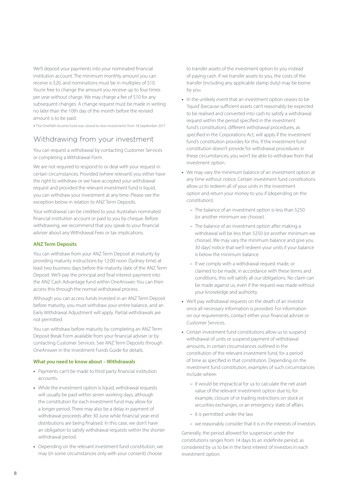<span id="page-7-0"></span>We'll deposit your payments into your nominated financial institution account. The minimum monthly amount you can receive is \$20, and nominations must be in multiples of \$10. You're free to change the amount you receive up to four times per year without charge. We may charge a fee of \$10 for any subsequent changes. A change request must be made in writing no later than the 10th day of the month before the revised amount is to be paid.

# The OnePath Income fund was closed to new investments from 18 September 2017.

### Withdrawing from your investment

You can request a withdrawal by contacting Customer Services or completing a Withdrawal Form.

We are not required to respond to or deal with your request in certain circumstances. Provided (where relevant) you either have the right to withdraw or we have accepted your withdrawal request and provided the relevant investment fund is liquid, you can withdraw your investment at any time. Please see the exception below in relation to ANZ Term Deposits.

Your withdrawal can be credited to your Australian nominated financial institution account or paid to you by cheque. Before withdrawing, we recommend that you speak to your financial adviser about any Withdrawal Fees or tax implications.

#### **ANZ Term Deposits**

You can withdraw from your ANZ Term Deposit at maturity by providing maturity instructions by 12:00 noon (Sydney time) at least two business days before the maturity date of the ANZ Term Deposit. We'll pay the principal and final interest payment into the ANZ Cash Advantage fund within OneAnswer. You can then access this through the normal withdrawal process.

Although you can access funds invested in an ANZ Term Deposit before maturity, you must withdraw your entire balance, and an Early Withdrawal Adjustment will apply. Partial withdrawals are not permitted.

You can withdraw before maturity by completing an ANZ Term Deposit Break Form available from your financial adviser or by contacting Customer Services. See ANZ Term Deposits through OneAnswer in the Investment Funds Guide for details.

#### **What you need to know about – Withdrawals**

- **•** Payments can't be made to third party financial institution accounts.
- **•** While the investment option is liquid, withdrawal requests will usually be paid within seven working days, although the constitution for each investment fund may allow for a longer period. There may also be a delay in payment of withdrawal proceeds after 30 June while financial year-end distributions are being finalised. In this case, we don't have an obligation to satisfy withdrawal requests within the shorter withdrawal period.
- **•** Depending on the relevant investment fund constitution, we may (in some circumstances only with your consent) choose

to transfer assets of the investment option to you instead of paying cash. If we transfer assets to you, the costs of the transfer (including any applicable stamp duty) may be borne by you.

- **•** In the unlikely event that an investment option ceases to be 'liquid' (because sufficient assets can't reasonably be expected to be realised and converted into cash to satisfy a withdrawal request within the period specified in the investment fund's constitution), different withdrawal procedures, as specified in the Corporations Act, will apply if the investment fund's constitution provides for this. If the investment fund constitution doesn't provide for withdrawal procedures in these circumstances, you won't be able to withdraw from that investment option.
- **•** We may vary the minimum balance of an investment option at any time without notice. Certain investment fund constitutions allow us to redeem all of your units in the investment option and return your money to you if (depending on the constitution):
	- The balance of an investment option is less than \$250 (or another minimum we choose).
	- The balance of an investment option after making a withdrawal will be less than \$250 (or another minimum we choose). We may vary the minimum balance and give you 30 days' notice that we'll redeem your units if your balance is below the minimum balance.
	- If we comply with a withdrawal request made, or claimed to be made, in accordance with these terms and conditions, this will satisfy all our obligations. No claim can be made against us, even if the request was made without your knowledge and authority.
- **•** We'll pay withdrawal requests on the death of an investor once all necessary information is provided. For information on our requirements, contact either your financial adviser or Customer Services.
- **•** Certain investment fund constitutions allow us to suspend withdrawal of units or suspend payment of withdrawal amounts, in certain circumstances outlined in the constitution of the relevant investment fund, for a period of time as specified in that constitution. Depending on the investment fund constitution, examples of such circumstances include where:
	- it would be impractical for us to calculate the net asset value of the relevant investment option due to, for example, closure of or trading restrictions on stock or securities exchanges, or an emergency state of affairs
	- it is permitted under the law
	- we reasonably consider that it is in the interests of investors.

Generally, the period allowed for suspension under the constitutions ranges from 14 days to an indefinite period, as considered by us to be in the best interest of investors in each investment option.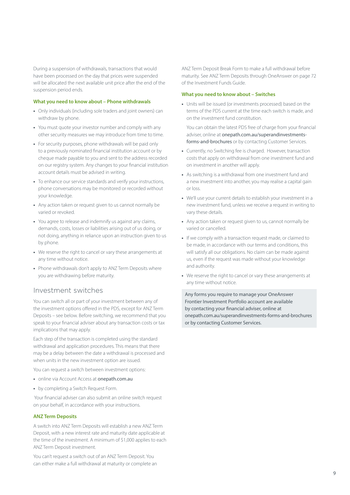<span id="page-8-0"></span>During a suspension of withdrawals, transactions that would have been processed on the day that prices were suspended will be allocated the next available unit price after the end of the suspension period ends.

#### **What you need to know about – Phone withdrawals**

- **•** Only individuals (including sole traders and joint owners) can withdraw by phone.
- **•** You must quote your investor number and comply with any other security measures we may introduce from time to time.
- **•** For security purposes, phone withdrawals will be paid only to a previously nominated financial institution account or by cheque made payable to you and sent to the address recorded on our registry system. Any changes to your financial institution account details must be advised in writing.
- **•** To enhance our service standards and verify your instructions, phone conversations may be monitored or recorded without your knowledge.
- **•** Any action taken or request given to us cannot normally be varied or revoked.
- **•** You agree to release and indemnify us against any claims, demands, costs, losses or liabilities arising out of us doing, or not doing, anything in reliance upon an instruction given to us by phone.
- **•** We reserve the right to cancel or vary these arrangements at any time without notice.
- **•** Phone withdrawals don't apply to ANZ Term Deposits where you are withdrawing before maturity.

### Investment switches

You can switch all or part of your investment between any of the investment options offered in the PDS, except for ANZ Term Deposits – see below. Before switching, we recommend that you speak to your financial adviser about any transaction costs or tax implications that may apply.

Each step of the transaction is completed using the standard withdrawal and application procedures. This means that there may be a delay between the date a withdrawal is processed and when units in the new investment option are issued.

You can request a switch between investment options:

- **•** online via Account Access at [onepath.com.au](http://onepath.com.au)
- **•** by completing a Switch Request Form.

 Your financial adviser can also submit an online switch request on your behalf, in accordance with your instructions.

#### **ANZ Term Deposits**

A switch into ANZ Term Deposits will establish a new ANZ Term Deposit, with a new interest rate and maturity date applicable at the time of the investment. A minimum of \$1,000 applies to each ANZ Term Deposit investment.

You can't request a switch out of an ANZ Term Deposit. You can either make a full withdrawal at maturity or complete an

ANZ Term Deposit Break Form to make a full withdrawal before maturity. See ANZ Term Deposits through OneAnswer on page 72 of the Investment Funds Guide.

#### **What you need to know about – Switches**

**•** Units will be issued (or investments processed) based on the terms of the PDS current at the time each switch is made, and on the investment fund constitution.

You can obtain the latest PDS free of charge from your financial adviser, online at [onepath.com.au/superandinvestments](http://onepath.com.au/superandinvestments-forms-and-brochures)[forms-and-brochures](http://onepath.com.au/superandinvestments-forms-and-brochures) or by contacting Customer Services.

- **•** Currently, no Switching fee is charged. However, transaction costs that apply on withdrawal from one investment fund and on investment in another will apply.
- **•** As switching is a withdrawal from one investment fund and a new investment into another, you may realise a capital gain or loss.
- **•** We'll use your current details to establish your investment in a new investment fund, unless we receive a request in writing to vary these details.
- **•** Any action taken or request given to us, cannot normally be varied or cancelled.
- **•** If we comply with a transaction request made, or claimed to be made, in accordance with our terms and conditions, this will satisfy all our obligations. No claim can be made against us, even if the request was made without your knowledge and authority.
- **•** We reserve the right to cancel or vary these arrangements at any time without notice.

Any forms you require to manage your OneAnswer Frontier Investment Portfolio account are available by contacting your financial adviser, online at [onepath.com.au/superandinvestments-forms-and-brochures](http://onepath.com.au/superandinvestments-forms-and-brochures) or by contacting Customer Services.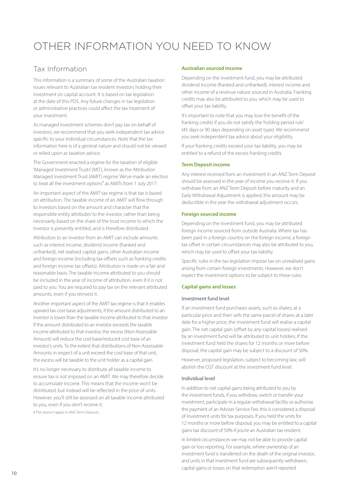# <span id="page-9-0"></span>OTHER INFORMATION YOU NEED TO KNOW

### Tax Information

This information is a summary of some of the Australian taxation issues relevant to Australian tax resident investors holding their investment on capital account. It is based on tax legislation at the date of this PDS. Any future changes in tax legislation or administrative practices could affect the tax treatment of your investment.

As managed investment schemes don't pay tax on behalf of investors, we recommend that you seek independent tax advice specific to your individual circumstances. Note that the tax information here is of a general nature and should not be viewed or relied upon as taxation advice.

The Government enacted a regime for the taxation of eligible 'Managed Investment Trusts' (MIT), known as the Attribution Managed Investment Trust (AMIT) regime. We've made an election to treat all the investment options<sup>#</sup> as AMITs from 1 July 2017.

An important aspect of the AMIT tax regime is that tax is based on attribution. The taxable income of an AMIT will flow through to investors based on the amount and character that the responsible entity 'attributes' to the investor, rather than being necessarily based on the share of the trust income to which the investor is presently entitled, and is therefore distributed.

Attribution to an investor from an AMIT can include amounts such as interest income, dividend income (franked and unfranked), net realised capital gains, other Australian income and foreign income (including tax offsets such as franking credits and foreign income tax offsets). Attribution is made on a fair and reasonable basis. The taxable income attributed to you should be included in the year of income of attribution, even if it is not paid to you. You are required to pay tax on the relevant attributed amounts, even if you reinvest it.

Another important aspect of the AMIT tax regime is that it enables upward tax cost base adjustments, if the amount distributed to an investor is lower than the taxable income attributed to that investor. If the amount distributed to an investor exceeds the taxable income attributed to that investor, the excess (Non-Assessable Amount) will reduce the cost base/reduced cost base of an investor's units. To the extent that distributions of Non-Assessable Amounts in respect of a unit exceed the cost base of that unit, the excess will be taxable to the unit holder as a capital gain.

It's no longer necessary to distribute all taxable income to ensure tax is not imposed on an AMIT. We may therefore decide to accumulate income. This means that the income won't be distributed, but instead will be reflected in the price of units. However, you'll still be assessed on all taxable income attributed to you, even if you don't receive it.

# This doesn't apply to ANZ Term Deposits.

#### **Australian sourced income**

Depending on the investment fund, you may be attributed dividend income (franked and unfranked), interest income and other income of a revenue nature sourced in Australia. Franking credits may also be attributed to you, which may be used to offset your tax liability.

It's important to note that you may lose the benefit of the franking credits if you do not satisfy the 'holding period rule' (45 days or 90 days depending on asset type). We recommend you seek independent tax advice about your eligibility.

If your franking credits exceed your tax liability, you may be entitled to a refund of the excess franking credits.

#### **Term Deposit income**

Any interest received from an investment in an ANZ Term Deposit should be assessed in the year of income you receive it. If you withdraw from an ANZ Term Deposit before maturity and an Early Withdrawal Adjustment is applied, this amount may be deductible in the year the withdrawal adjustment occurs.

#### **Foreign sourced income**

Depending on the investment fund, you may be attributed foreign income sourced from outside Australia. Where tax has been paid in a foreign country on the foreign income, a foreign tax offset in certain circumstances may also be attributed to you, which may be used to offset your tax liability.

Specific rules in the tax legislation impose tax on unrealised gains arising from certain foreign investments. However, we don't expect the investment options to be subject to these rules.

#### **Capital gains and losses**

#### Investment fund level

If an investment fund purchases assets, such as shares, at a particular price and then sells the same parcel of shares at a later date for a higher price, the investment fund will realise a capital gain. The net capital gain (offset by any capital losses) realised by an investment fund will be attributed to unit holders. If the investment fund held the shares for 12 months or more before disposal, the capital gain may be subject to a discount of 50%.

However, proposed legislation, subject to becoming law, will abolish the CGT discount at the investment fund level.

#### Individual level

In addition to net capital gains being attributed to you by the investment funds, if you withdraw, switch or transfer your investment, participate in a regular withdrawal facility or authorise the payment of an Adviser Service Fee, this is considered a disposal of investment units for tax purposes. If you held the units for 12 months or more before disposal, you may be entitled to a capital gains tax discount of 50% if you're an Australian tax resident.

In limited circumstances we may not be able to provide capital gain or loss reporting. For example, where ownership of an investment fund is transferred on the death of the original investor, and units in that investment fund are subsequently withdrawn, capital gains or losses on that redemption aren't reported.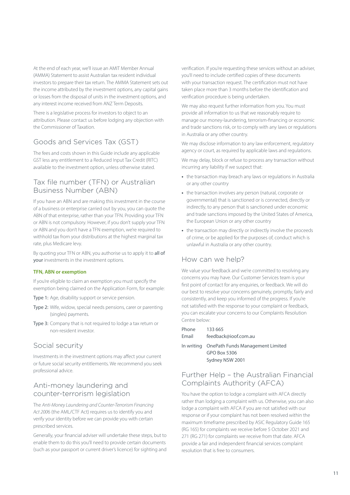<span id="page-10-0"></span>At the end of each year, we'll issue an AMIT Member Annual (AMMA) Statement to assist Australian tax resident individual investors to prepare their tax return. The AMMA Statement sets out the income attributed by the investment options, any capital gains or losses from the disposal of units in the investment options, and any interest income received from ANZ Term Deposits.

There is a legislative process for investors to object to an attribution. Please contact us before lodging any objection with the Commissioner of Taxation.

### Goods and Services Tax (GST)

The fees and costs shown in this Guide include any applicable GST less any entitlement to a Reduced Input Tax Credit (RITC) available to the investment option, unless otherwise stated.

### Tax file number (TFN) or Australian Business Number (ABN)

If you have an ABN and are making this investment in the course of a business or enterprise carried out by you, you can quote the ABN of that enterprise, rather than your TFN. Providing your TFN or ABN is not compulsory. However, if you don't supply your TFN or ABN and you don't have a TFN exemption, we're required to withhold tax from your distributions at the highest marginal tax rate, plus Medicare levy.

By quoting your TFN or ABN, you authorise us to apply it to all of your investments in the investment options.

#### **TFN, ABN or exemption**

If you're eligible to claim an exemption you must specify the exemption being claimed on the Application Form, for example:

- Type 1: Age, disability support or service pension.
- Type 2: Wife, widow, special needs pensions, carer or parenting (singles) payments.
- Type 3: Company that is not required to lodge a tax return or non-resident investor.

### Social security

Investments in the investment options may affect your current or future social security entitlements. We recommend you seek professional advice.

### Anti-money laundering and counter-terrorism legislation

The *Anti-Money Laundering and Counter-Terrorism Financing Act 200*6 (the AML/CTF Act) requires us to identify you and verify your identity before we can provide you with certain prescribed services.

Generally, your financial adviser will undertake these steps, but to enable them to do this you'll need to provide certain documents (such as your passport or current driver's licence) for sighting and

verification. If you're requesting these services without an adviser, you'll need to include certified copies of these documents with your transaction request. The certification must not have taken place more than 3 months before the identification and verification procedure is being undertaken.

We may also request further information from you. You must provide all information to us that we reasonably require to manage our money-laundering, terrorism-financing or economic and trade sanctions risk, or to comply with any laws or regulations in Australia or any other country.

We may disclose information to any law enforcement, regulatory agency or court, as required by applicable laws and regulations.

We may delay, block or refuse to process any transaction without incurring any liability if we suspect that:

- **•** the transaction may breach any laws or regulations in Australia or any other country
- **•** the transaction involves any person (natural, corporate or governmental) that is sanctioned or is connected, directly or indirectly, to any person that is sanctioned under economic and trade sanctions imposed by the United States of America, the European Union or any other country
- **•** the transaction may directly or indirectly involve the proceeds of crime, or be applied for the purposes of, conduct which is unlawful in Australia or any other country.

### How can we help?

We value your feedback and we're committed to resolving any concerns you may have. Our Customer Services team is your first point of contact for any enquiries, or feedback. We will do our best to resolve your concerns genuinely, promptly, fairly and consistently, and keep you informed of the progress. If you're not satisfied with the response to your complaint or feedback, you can escalate your concerns to our Complaints Resolution Centre below:

| Phone | 133 665              |
|-------|----------------------|
| Email | feedback@ioof.com.au |

In writing OnePath Funds Management Limited GPO Box 5306 Sydney NSW 2001

### Further Help – the Australian Financial Complaints Authority (AFCA)

You have the option to lodge a complaint with AFCA directly rather than lodging a complaint with us. Otherwise, you can also lodge a complaint with AFCA if you are not satisfied with our response or if your complaint has not been resolved within the maximum timeframe prescribed by ASIC Regulatory Guide 165 (RG 165) for complaints we receive before 5 October 2021 and 271 (RG 271) for complaints we receive from that date. AFCA provide a fair and independent financial services complaint resolution that is free to consumers.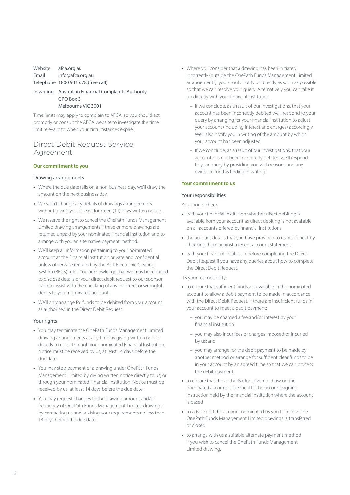### <span id="page-11-0"></span>Website afca.org.au Email info@afca.org.au Telephone 1800 931 678 (free call)

#### In writing Australian Financial Complaints Authority GPO Box 3 Melbourne VIC 3001

Time limits may apply to complain to AFCA, so you should act promptly or consult the AFCA website to investigate the time limit relevant to when your circumstances expire.

### Direct Debit Request Service Agreement

#### **Our commitment to you**

#### Drawing arrangements

- **•** Where the due date falls on a non-business day, we'll draw the amount on the next business day.
- **•** We won't change any details of drawings arrangements without giving you at least fourteen (14) days' written notice.
- **•** We reserve the right to cancel the OnePath Funds Management Limited drawing arrangements if three or more drawings are returned unpaid by your nominated Financial Institution and to arrange with you an alternative payment method.
- **•** We'll keep all information pertaining to your nominated account at the Financial Institution private and confidential unless otherwise required by the Bulk Electronic Clearing System (BECS) rules. You acknowledge that we may be required to disclose details of your direct debit request to our sponsor bank to assist with the checking of any incorrect or wrongful debits to your nominated account.
- **•** We'll only arrange for funds to be debited from your account as authorised in the Direct Debit Request.

#### Your rights

- **•** You may terminate the OnePath Funds Management Limited drawing arrangements at any time by giving written notice directly to us, or through your nominated Financial Institution. Notice must be received by us, at least 14 days before the due date.
- **•** You may stop payment of a drawing under OnePath Funds Management Limited by giving written notice directly to us, or through your nominated Financial Institution. Notice must be received by us, at least 14 days before the due date.
- **•** You may request changes to the drawing amount and/or frequency of OnePath Funds Management Limited drawings by contacting us and advising your requirements no less than 14 days before the due date.
- **•** Where you consider that a drawing has been initiated incorrectly (outside the OnePath Funds Management Limited arrangements), you should notify us directly as soon as possible so that we can resolve your query. Alternatively you can take it up directly with your financial institution.
	- If we conclude, as a result of our investigations, that your account has been incorrectly debited we'll respond to your query by arranging for your financial institution to adjust your account (including interest and charges) accordingly. We'll also notify you in writing of the amount by which your account has been adjusted.
	- If we conclude, as a result of our investigations, that your account has not been incorrectly debited we'll respond to your query by providing you with reasons and any evidence for this finding in writing.

#### **Your commitment to us**

#### Your responsibilities

#### You should check:

- **•** with your financial institution whether direct debiting is available from your account as direct debiting is not available on all accounts offered by financial institutions
- **•** the account details that you have provided to us are correct by checking them against a recent account statement
- **•** with your financial institution before completing the Direct Debit Request if you have any queries about how to complete the Direct Debit Request.

#### It's your responsibility:

- **•** to ensure that sufficient funds are available in the nominated account to allow a debit payment to be made in accordance with the Direct Debit Request. If there are insufficient funds in your account to meet a debit payment:
	- you may be charged a fee and/or interest by your financial institution
	- you may also incur fees or charges imposed or incurred by us; and
	- you may arrange for the debit payment to be made by another method or arrange for sufficient clear funds to be in your account by an agreed time so that we can process the debit payment.
- **•** to ensure that the authorisation given to draw on the nominated account is identical to the account signing instruction held by the financial institution where the account is based
- **•** to advise us if the account nominated by you to receive the OnePath Funds Management Limited drawings is transferred or closed
- **•** to arrange with us a suitable alternate payment method if you wish to cancel the OnePath Funds Management Limited drawing.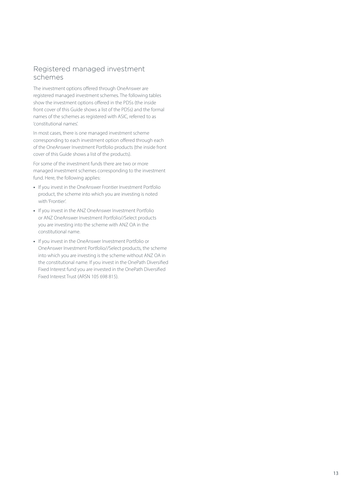### <span id="page-12-0"></span>Registered managed investment schemes

The investment options offered through OneAnswer are registered managed investment schemes. The following tables show the investment options offered in the PDSs (the inside front cover of this Guide shows a list of the PDSs) and the formal names of the schemes as registered with ASIC, referred to as 'constitutional names'.

In most cases, there is one managed investment scheme corresponding to each investment option offered through each of the OneAnswer Investment Portfolio products (the inside front cover of this Guide shows a list of the products).

For some of the investment funds there are two or more managed investment schemes corresponding to the investment fund. Here, the following applies:

- **•** If you invest in the OneAnswer Frontier Investment Portfolio product, the scheme into which you are investing is noted with 'Frontier'.
- **•** If you invest in the ANZ OneAnswer Investment Portfolio or ANZ OneAnswer Investment Portfolio//Select products you are investing into the scheme with ANZ OA in the constitutional name.
- **•** If you invest in the OneAnswer Investment Portfolio or OneAnswer Investment Portfolio//Select products, the scheme into which you are investing is the scheme without ANZ OA in the constitutional name. If you invest in the OnePath Diversified Fixed Interest fund you are invested in the OnePath Diversified Fixed Interest Trust (ARSN 105 698 815).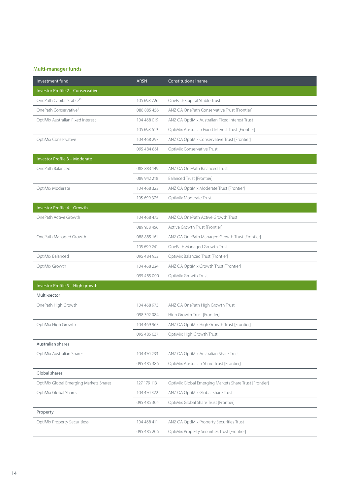### **Multi-manager funds**

| Investment fund                          | <b>ARSN</b> | Constitutional name                                    |
|------------------------------------------|-------------|--------------------------------------------------------|
| <b>Investor Profile 2 - Conservative</b> |             |                                                        |
| OnePath Capital Stable <sup>#§</sup>     | 105 698 726 | OnePath Capital Stable Trust                           |
| OnePath Conservative <sup>ll</sup>       | 088 885 456 | ANZ OA OnePath Conservative Trust [Frontier]           |
| OptiMix Australian Fixed Interest        | 104 468 019 | ANZ OA OptiMix Australian Fixed Interest Trust         |
|                                          | 105 698 619 | OptiMix Australian Fixed Interest Trust [Frontier]     |
| OptiMix Conservative                     | 104 468 297 | ANZ OA OptiMix Conservative Trust [Frontier]           |
|                                          | 095 484 861 | OptiMix Conservative Trust                             |
| Investor Profile 3 - Moderate            |             |                                                        |
| OnePath Balanced                         | 088 883 149 | ANZ OA OnePath Balanced Trust                          |
|                                          | 089 942 218 | Balanced Trust [Frontier]                              |
| OptiMix Moderate                         | 104 468 322 | ANZ OA OptiMix Moderate Trust [Frontier]               |
|                                          | 105 699 376 | OptiMix Moderate Trust                                 |
| Investor Profile 4 - Growth              |             |                                                        |
| OnePath Active Growth                    | 104 468 475 | ANZ OA OnePath Active Growth Trust                     |
|                                          | 089 938 456 | Active Growth Trust [Frontier]                         |
| OnePath Managed Growth                   | 088 885 161 | ANZ OA OnePath Managed Growth Trust [Frontier]         |
|                                          | 105 699 241 | OnePath Managed Growth Trust                           |
| OptiMix Balanced                         | 095 484 932 | OptiMix Balanced Trust [Frontier]                      |
| OptiMix Growth                           | 104 468 224 | ANZ OA OptiMix Growth Trust [Frontier]                 |
|                                          | 095 485 000 | OptiMix Growth Trust                                   |
| Investor Profile 5 - High growth         |             |                                                        |
| Multi-sector                             |             |                                                        |
| OnePath High Growth                      | 104 468 975 | ANZ OA OnePath High Growth Trust                       |
|                                          | 098 392 084 | High Growth Trust [Frontier]                           |
| OptiMix High Growth                      | 104 469 963 | ANZ OA OptiMix High Growth Trust [Frontier]            |
|                                          | 095 485 037 | OptiMix High Growth Trust                              |
| Australian shares                        |             |                                                        |
| OptiMix Australian Shares                | 104 470 233 | ANZ OA OptiMix Australian Share Trust                  |
|                                          | 095 485 386 | OptiMix Australian Share Trust [Frontier]              |
| Global shares                            |             |                                                        |
| OptiMix Global Emerging Markets Shares   | 127 179 113 | OptiMix Global Emerging Markets Share Trust [Frontier] |
| OptiMix Global Shares                    | 104 470 322 | ANZ OA OptiMix Global Share Trust                      |
|                                          | 095 485 304 | OptiMix Global Share Trust [Frontier]                  |
| Property                                 |             |                                                        |
| <b>OptiMix Property Securitiess</b>      | 104 468 411 | ANZ OA OptiMix Property Securities Trust               |
|                                          | 095 485 206 | OptiMix Property Securities Trust [Frontier]           |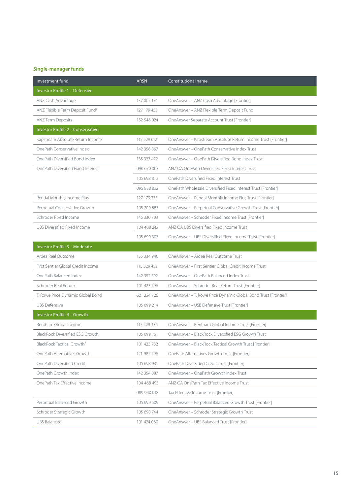### **Single-manager funds**

| Investment fund                        | <b>ARSN</b> | Constitutional name                                            |
|----------------------------------------|-------------|----------------------------------------------------------------|
| Investor Profile 1 - Defensive         |             |                                                                |
| ANZ Cash Advantage                     | 137 002 174 | OneAnswer - ANZ Cash Advantage [Frontier]                      |
| ANZ Flexible Term Deposit Fund*        | 127 179 453 | OneAnswer - ANZ Flexible Term Deposit Fund                     |
| ANZ Term Deposits                      | 152 546 024 | OneAnswer Separate Account Trust [Frontier]                    |
| Investor Profile 2 - Conservative      |             |                                                                |
| Kapstream Absolute Return Income       | 115 529 612 | OneAnswer - Kapstream Absolute Return Income Trust [Frontier]  |
| OnePath Conservative Index             | 142 356 867 | OneAnswer - OnePath Conservative Index Trust                   |
| OnePath Diversified Bond Index         | 135 327 472 | OneAnswer - OnePath Diversified Bond Index Trust               |
| OnePath Diversified Fixed Interest     | 096 670 003 | ANZ OA OnePath Diversified Fixed Interest Trust                |
|                                        | 105 698 815 | OnePath Diversified Fixed Interest Trust                       |
|                                        | 095 838 832 | OnePath Wholesale Diversified Fixed Interest Trust [Frontier]  |
| Pendal Monthly Income Plus             | 127 179 373 | OneAnswer - Pendal Monthly Income Plus Trust [Frontier]        |
| Perpetual Conservative Growth          | 105 700 883 | OneAnswer - Perpetual Conservative Growth Trust [Frontier]     |
| Schroder Fixed Income                  | 145 330 703 | OneAnswer - Schroder Fixed Income Trust [Frontier]             |
| UBS Diversified Fixed Income           | 104 468 242 | ANZ OA UBS Diversified Fixed Income Trust                      |
|                                        | 105 699 303 | OneAnswer - UBS Diversified Fixed Income Trust [Frontier]      |
| Investor Profile 3 - Moderate          |             |                                                                |
| Ardea Real Outcome                     | 135 334 940 | OneAnswer - Ardea Real Outcome Trust                           |
| First Sentier Global Credit Income     | 115 529 452 | OneAnswer - First Sentier Global Credit Income Trust           |
| OnePath Balanced Index                 | 142 352 592 | OneAnswer - OnePath Balanced Index Trust                       |
| Schroder Real Return                   | 101 423 796 | OneAnswer - Schroder Real Return Trust [Frontier]              |
| T. Rowe Price Dynamic Global Bond      | 621 224 726 | OneAnswer - T. Rowe Price Dynamic Global Bond Trust [Frontier] |
| <b>UBS Defensive</b>                   | 105 699 214 | OneAnswer - USB Defensive Trust [Frontier]                     |
| Investor Profile 4 - Growth            |             |                                                                |
| Bentham Global Income                  | 115 529 336 | OneAnswer - Bentham Global Income Trust [Frontier]             |
| BlackRock Diversified ESG Growth       | 105 699 161 | OneAnswer - BlackRock Diversified ESG Growth Trust             |
| BlackRock Tactical Growth <sup>9</sup> | 101 423 732 | OneAnswer - BlackRock Tactical Growth Trust [Frontier]         |
| OnePath Alternatives Growth            | 121 982 796 | OnePath Alternatives Growth Trust [Frontier]                   |
| OnePath Diversified Credit             | 105 698 931 | OnePath Diversified Credit Trust [Frontier]                    |
| OnePath Growth Index                   | 142 354 087 | One Answer - One Path Growth Index Trust                       |
| OnePath Tax Effective Income           | 104 468 493 | ANZ OA OnePath Tax Effective Income Trust                      |
|                                        | 089 940 018 | Tax Effective Income Trust [Frontier]                          |
| Perpetual Balanced Growth              | 105 699 509 | OneAnswer - Perpetual Balanced Growth Trust [Frontier]         |
| Schroder Strategic Growth              | 105 698 744 | OneAnswer - Schroder Strategic Growth Trust                    |
| <b>UBS Balanced</b>                    | 101 424 060 | OneAnswer - UBS Balanced Trust [Frontier]                      |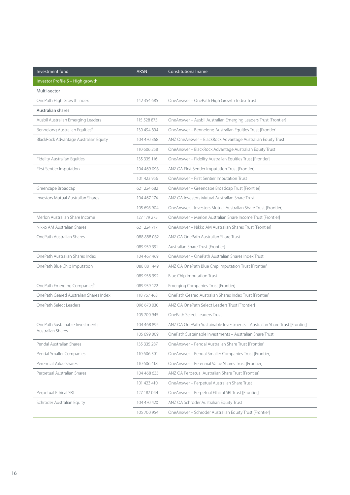| Investment fund                            | <b>ARSN</b> | Constitutional name                                                        |
|--------------------------------------------|-------------|----------------------------------------------------------------------------|
| Investor Profile 5 - High growth           |             |                                                                            |
| Multi-sector                               |             |                                                                            |
| OnePath High Growth Index                  | 142 354 685 | OneAnswer - OnePath High Growth Index Trust                                |
| Australian shares                          |             |                                                                            |
| Ausbil Australian Emerging Leaders         | 115 528 875 | OneAnswer - Ausbil Australian Emerging Leaders Trust [Frontier]            |
| Bennelong Australian Equities <sup>§</sup> | 139 494 894 | OneAnswer - Bennelong Australian Equities Trust [Frontier]                 |
| BlackRock Advantage Australian Equity      | 104 470 368 | ANZ OneAnswer - BlackRock Advantage Australian Equity Trust                |
|                                            | 110 606 258 | OneAnswer - BlackRock Advantage Australian Equity Trust                    |
| Fidelity Australian Equities               | 135 335 116 | OneAnswer - Fidelity Australian Equities Trust [Frontier]                  |
| First Sentier Imputation                   | 104 469 098 | ANZ OA First Sentier Imputation Trust [Frontier]                           |
|                                            | 101 423 956 | OneAnswer - First Sentier Imputation Trust                                 |
| Greencape Broadcap                         | 621 224 682 | OneAnswer - Greencape Broadcap Trust [Frontier]                            |
| <b>Investors Mutual Australian Shares</b>  | 104 467 174 | ANZ OA Investors Mutual Australian Share Trust                             |
|                                            | 105 698 904 | OneAnswer - Investors Mutual Australian Share Trust [Frontier]             |
| Merlon Australian Share Income             | 127 179 275 | OneAnswer - Merlon Australian Share Income Trust [Frontier]                |
| Nikko AM Australian Shares                 | 621 224 717 | OneAnswer - Nikko AM Australian Shares Trust [Frontier]                    |
| OnePath Australian Shares                  | 088 888 082 | ANZ OA OnePath Australian Share Trust                                      |
|                                            | 089 939 391 | Australian Share Trust [Frontier]                                          |
| OnePath Australian Shares Index            | 104 467 469 | OneAnswer - OnePath Australian Shares Index Trust                          |
| OnePath Blue Chip Imputation               | 088 881 449 | ANZ OA OnePath Blue Chip Imputation Trust [Frontier]                       |
|                                            | 089 938 992 | <b>Blue Chip Imputation Trust</b>                                          |
| OnePath Emerging Companies <sup>§</sup>    | 089 939 122 | <b>Emerging Companies Trust [Frontier]</b>                                 |
| OnePath Geared Australian Shares Index     | 118 767 463 | OnePath Geared Australian Shares Index Trust [Frontier]                    |
| OnePath Select Leaders                     | 096 670 030 | ANZ OA OnePath Select Leaders Trust [Frontier]                             |
|                                            | 105 700 945 | OnePath Select Leaders Trust                                               |
| OnePath Sustainable Investments -          | 104 468 895 | ANZ OA OnePath Sustainable Investments - Australian Share Trust [Frontier] |
| Australian Shares                          | 105 699 009 | OnePath Sustainable Investments - Australian Share Trust                   |
| Pendal Australian Shares                   | 135 335 287 | OneAnswer - Pendal Australian Share Trust [Frontier]                       |
| Pendal Smaller Companies                   | 110 606 301 | OneAnswer - Pendal Smaller Companies Trust [Frontier]                      |
| Perennial Value Shares                     | 110 606 418 | OneAnswer - Perennial Value Shares Trust [Frontier]                        |
| Perpetual Australian Shares                | 104 468 635 | ANZ OA Perpetual Australian Share Trust [Frontier]                         |
|                                            | 101 423 410 | OneAnswer - Perpetual Australian Share Trust                               |
| Perpetual Ethical SRI                      | 127 187 044 | OneAnswer - Perpetual Ethical SRI Trust [Frontier]                         |
| Schroder Australian Equity                 | 104 470 420 | ANZ OA Schroder Australian Equity Trust                                    |
|                                            | 105 700 954 | OneAnswer - Schroder Australian Equity Trust [Frontier]                    |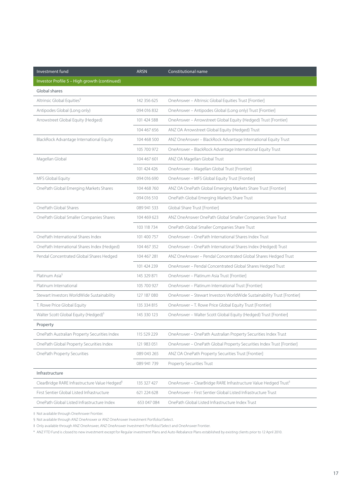| Investment fund                                           | <b>ARSN</b> | Constitutional name                                                         |
|-----------------------------------------------------------|-------------|-----------------------------------------------------------------------------|
| Investor Profile 5 - High growth (continued)              |             |                                                                             |
| Global shares                                             |             |                                                                             |
| Altrinsic Global Equities <sup>§</sup>                    | 142 356 625 | OneAnswer - Altrinsic Global Equities Trust [Frontier]                      |
| Antipodes Global (Long only)                              | 094 016 832 | OneAnswer - Antipodes Global (Long only) Trust [Frontier]                   |
| Arrowstreet Global Equity (Hedged)                        | 101 424 588 | OneAnswer - Arrowstreet Global Equity (Hedged) Trust [Frontier]             |
|                                                           | 104 467 656 | ANZ OA Arrowstreet Global Equity (Hedged) Trust                             |
| BlackRock Advantage International Equity                  | 104 468 500 | ANZ OneAnswer - BlackRock Advantage International Equity Trust              |
|                                                           | 105 700 972 | OneAnswer - BlackRock Advantage International Equity Trust                  |
| Magellan Global                                           | 104 467 601 | ANZ OA Magellan Global Trust                                                |
|                                                           | 101 424 426 | OneAnswer - Magellan Global Trust [Frontier]                                |
| MFS Global Equity                                         | 094 016 690 | OneAnswer - MFS Global Equity Trust [Frontier]                              |
| OnePath Global Emerging Markets Shares                    | 104 468 760 | ANZ OA OnePath Global Emerging Markets Share Trust [Frontier]               |
|                                                           | 094 016 510 | OnePath Global Emerging Markets Share Trust                                 |
| OnePath Global Shares                                     | 089 941 533 | Global Share Trust [Frontier]                                               |
| OnePath Global Smaller Companies Shares                   | 104 469 623 | ANZ OneAnswer OnePath Global Smaller Companies Share Trust                  |
|                                                           | 103 118 734 | OnePath Global Smaller Companies Share Trust                                |
| OnePath International Shares Index                        | 101 400 757 | OneAnswer - OnePath International Shares Index Trust                        |
| OnePath International Shares Index (Hedged)               | 104 467 352 | OneAnswer - OnePath International Shares Index (Hedged) Trust               |
| Pendal Concentrated Global Shares Hedged                  | 104 467 281 | ANZ OneAnswer - Pendal Concentrated Global Shares Hedged Trust              |
|                                                           | 101 424 239 | OneAnswer - Pendal Concentrated Global Shares Hedged Trust                  |
| Platinum Asia <sup>§</sup>                                | 145 329 871 | OneAnswer - Platinum Asia Trust [Frontier]                                  |
| Platinum International                                    | 105 700 927 | OneAnswer - Platinum International Trust [Frontier]                         |
| Stewart Investors WorldWide Sustainability                | 127 187 080 | OneAnswer - Stewart Investors WorldWide Sustainability Trust [Frontier]     |
| T. Rowe Price Global Equity                               | 135 334 815 | OneAnswer - T. Rowe Price Global Equity Trust [Frontier]                    |
| Walter Scott Global Equity (Hedged) <sup>§</sup>          | 145 330 123 | OneAnswer - Walter Scott Global Equity (Hedged) Trust [Frontier]            |
| Property                                                  |             |                                                                             |
| OnePath Australian Property Securities Index              | 115 529 229 | OneAnswer - OnePath Australian Property Securities Index Trust              |
| OnePath Global Property Securities Index                  | 121 983 051 | OneAnswer - OnePath Global Property Securities Index Trust [Frontier]       |
| OnePath Property Securities                               | 089 043 265 | ANZ OA OnePath Property Securities Trust [Frontier]                         |
|                                                           | 089 941 739 | Property Securities Trust                                                   |
| Infrastructure                                            |             |                                                                             |
| ClearBridge RARE Infrastructure Value Hedged <sup>§</sup> | 135 327 427 | OneAnswer - ClearBridge RARE Infrastructure Value Hedged Trust <sup>§</sup> |
| First Sentier Global Listed Infrastructure                | 621 224 628 | OneAnswer - First Sentier Global Listed Infrastructure Trust                |
| OnePath Global Listed Infrastructure Index                | 653 047 084 | OnePath Global Listed Infrastructure Index Trust                            |

‡ Not available through OneAnswer Frontier.

§ Not available through ANZ OneAnswer or ANZ OneAnswer Investment Portfolio//Select.

II Only available through ANZ OneAnswer, ANZ OneAnswer Investment Portfolio//Select and OneAnswer Frontier.

\* ANZ FTD Fund is closed to new investment except for Regular investment Plans and Auto-Rebalance Plans established by existing clients prior to 12 April 2010.